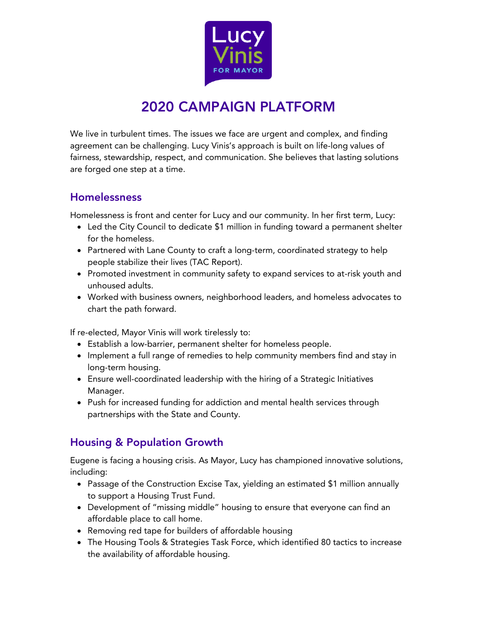

# 2020 CAMPAIGN PLATFORM

We live in turbulent times. The issues we face are urgent and complex, and finding agreement can be challenging. Lucy Vinis's approach is built on life-long values of fairness, stewardship, respect, and communication. She believes that lasting solutions are forged one step at a time.

#### Homelessness

Homelessness is front and center for Lucy and our community. In her first term, Lucy:

- Led the City Council to dedicate \$1 million in funding toward a permanent shelter for the homeless.
- Partnered with Lane County to craft a long-term, coordinated strategy to help people stabilize their lives (TAC Report).
- Promoted investment in community safety to expand services to at-risk youth and unhoused adults.
- Worked with business owners, neighborhood leaders, and homeless advocates to chart the path forward.

If re-elected, Mayor Vinis will work tirelessly to:

- Establish a low-barrier, permanent shelter for homeless people.
- Implement a full range of remedies to help community members find and stay in long-term housing.
- Ensure well-coordinated leadership with the hiring of a Strategic Initiatives Manager.
- Push for increased funding for addiction and mental health services through partnerships with the State and County.

# Housing & Population Growth

Eugene is facing a housing crisis. As Mayor, Lucy has championed innovative solutions, including:

- Passage of the Construction Excise Tax, yielding an estimated \$1 million annually to support a Housing Trust Fund.
- Development of "missing middle" housing to ensure that everyone can find an affordable place to call home.
- Removing red tape for builders of affordable housing
- The Housing Tools & Strategies Task Force, which identified 80 tactics to increase the availability of affordable housing.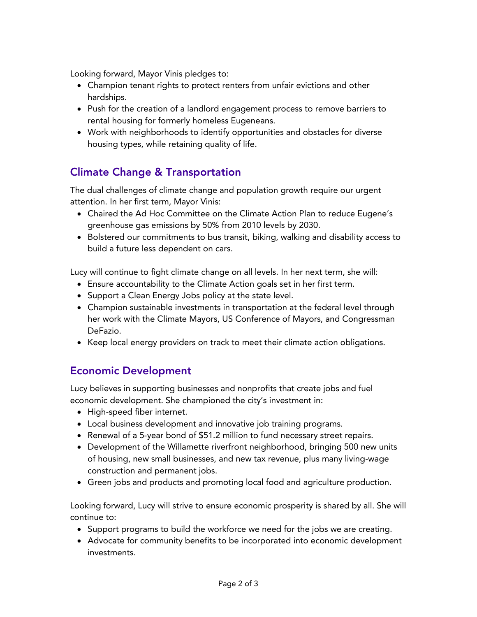Looking forward, Mayor Vinis pledges to:

- Champion tenant rights to protect renters from unfair evictions and other hardships.
- Push for the creation of a landlord engagement process to remove barriers to rental housing for formerly homeless Eugeneans.
- Work with neighborhoods to identify opportunities and obstacles for diverse housing types, while retaining quality of life.

## Climate Change & Transportation

The dual challenges of climate change and population growth require our urgent attention. In her first term, Mayor Vinis:

- Chaired the Ad Hoc Committee on the Climate Action Plan to reduce Eugene's greenhouse gas emissions by 50% from 2010 levels by 2030.
- Bolstered our commitments to bus transit, biking, walking and disability access to build a future less dependent on cars.

Lucy will continue to fight climate change on all levels. In her next term, she will:

- Ensure accountability to the Climate Action goals set in her first term.
- Support a Clean Energy Jobs policy at the state level.
- Champion sustainable investments in transportation at the federal level through her work with the Climate Mayors, US Conference of Mayors, and Congressman DeFazio.
- Keep local energy providers on track to meet their climate action obligations.

#### Economic Development

Lucy believes in supporting businesses and nonprofits that create jobs and fuel economic development. She championed the city's investment in:

- High-speed fiber internet.
- Local business development and innovative job training programs.
- Renewal of a 5-year bond of \$51.2 million to fund necessary street repairs.
- Development of the Willamette riverfront neighborhood, bringing 500 new units of housing, new small businesses, and new tax revenue, plus many living-wage construction and permanent jobs.
- Green jobs and products and promoting local food and agriculture production.

Looking forward, Lucy will strive to ensure economic prosperity is shared by all. She will continue to:

- Support programs to build the workforce we need for the jobs we are creating.
- Advocate for community benefits to be incorporated into economic development investments.